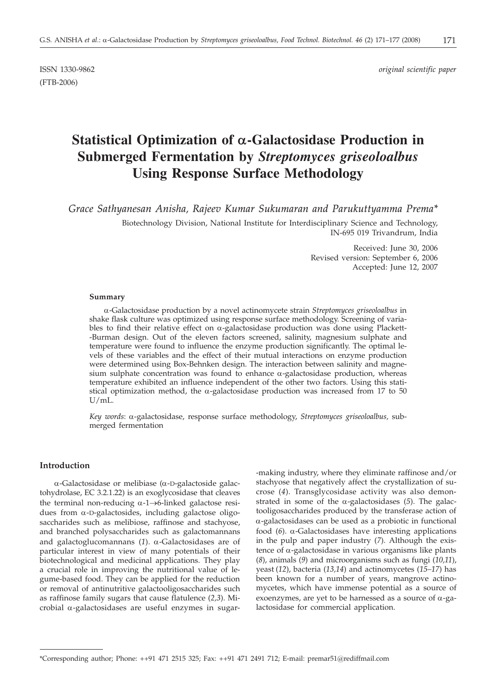(FTB-2006)

ISSN 1330-9862 *original scientific paper*

# **Statistical Optimization of** *a***-Galactosidase Production in Submerged Fermentation by** *Streptomyces griseoloalbus* **Using Response Surface Methodology**

*Grace Sathyanesan Anisha, Rajeev Kumar Sukumaran and Parukuttyamma Prema\**

Biotechnology Division, National Institute for Interdisciplinary Science and Technology, IN-695 019 Trivandrum, India

> Received: June 30, 2006 Revised version: September 6, 2006 Accepted: June 12, 2007

#### **Summary**

a-Galactosidase production by a novel actinomycete strain *Streptomyces griseoloalbus* in shake flask culture was optimized using response surface methodology. Screening of variables to find their relative effect on  $\alpha$ -galactosidase production was done using Plackett--Burman design. Out of the eleven factors screened, salinity, magnesium sulphate and temperature were found to influence the enzyme production significantly. The optimal levels of these variables and the effect of their mutual interactions on enzyme production were determined using Box-Behnken design. The interaction between salinity and magnesium sulphate concentration was found to enhance  $\alpha$ -galactosidase production, whereas temperature exhibited an influence independent of the other two factors. Using this statistical optimization method, the  $\alpha$ -galactosidase production was increased from 17 to 50 U/mL.

*Key words*: a-galactosidase, response surface methodology, *Streptomyces griseoloalbus,* submerged fermentation

## **Introduction**

 $\alpha$ -Galactosidase or melibiase ( $\alpha$ -D-galactoside galactohydrolase, EC 3.2.1.22) is an exoglycosidase that cleaves the terminal non-reducing  $\alpha$ -1 $\rightarrow$ 6-linked galactose residues from  $\alpha$ -D-galactosides, including galactose oligosaccharides such as melibiose, raffinose and stachyose, and branched polysaccharides such as galactomannans and galactoglucomannans (*1*). a-Galactosidases are of particular interest in view of many potentials of their biotechnological and medicinal applications. They play a crucial role in improving the nutritional value of legume-based food. They can be applied for the reduction or removal of antinutritive galactooligosaccharides such as raffinose family sugars that cause flatulence (*2,3*). Microbial  $\alpha$ -galactosidases are useful enzymes in sugar-making industry, where they eliminate raffinose and/or stachyose that negatively affect the crystallization of sucrose (*4*). Transglycosidase activity was also demonstrated in some of the  $\alpha$ -galactosidases (5). The galactooligosaccharides produced by the transferase action of a-galactosidases can be used as a probiotic in functional food  $(6)$ .  $\alpha$ -Galactosidases have interesting applications in the pulp and paper industry (*7*). Although the existence of  $\alpha$ -galactosidase in various organisms like plants (*8*), animals (*9*) and microorganisms such as fungi (*10,11*), yeast (*12*), bacteria (*13,14*) and actinomycetes (*15–17*) has been known for a number of years, mangrove actinomycetes, which have immense potential as a source of exoenzymes, are yet to be harnessed as a source of  $\alpha$ -galactosidase for commercial application.

<sup>\*</sup>Corresponding author; Phone: ++91 471 2515 325; Fax: ++91 471 2491 712; E-mail: premar51*@*rediffmail.com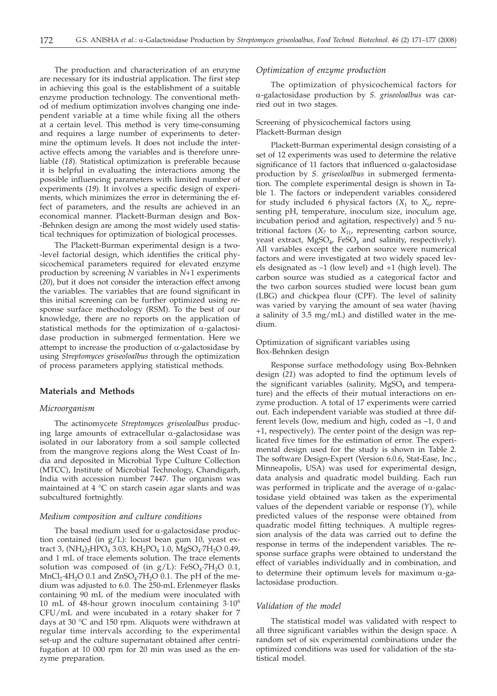The production and characterization of an enzyme are necessary for its industrial application. The first step in achieving this goal is the establishment of a suitable enzyme production technology. The conventional method of medium optimization involves changing one independent variable at a time while fixing all the others at a certain level. This method is very time-consuming and requires a large number of experiments to determine the optimum levels. It does not include the interactive effects among the variables and is therefore unreliable (*18*). Statistical optimization is preferable because it is helpful in evaluating the interactions among the possible influencing parameters with limited number of experiments (*19*). It involves a specific design of experiments, which minimizes the error in determining the effect of parameters, and the results are achieved in an economical manner. Plackett-Burman design and Box- -Behnken design are among the most widely used statistical techniques for optimization of biological processes.

The Plackett-Burman experimental design is a two- -level factorial design, which identifies the critical physicochemical parameters required for elevated enzyme production by screening *N* variables in *N*+1 experiments (*20*), but it does not consider the interaction effect among the variables. The variables that are found significant in this initial screening can be further optimized using response surface methodology (RSM). To the best of our knowledge, there are no reports on the application of statistical methods for the optimization of  $\alpha$ -galactosidase production in submerged fermentation. Here we attempt to increase the production of  $\alpha$ -galactosidase by using *Streptomyces griseoloalbus* through the optimization of process parameters applying statistical methods.

#### **Materials and Methods**

#### *Microorganism*

The actinomycete *Streptomyces griseoloalbus* producing large amounts of extracellular  $\alpha$ -galactosidase was isolated in our laboratory from a soil sample collected from the mangrove regions along the West Coast of India and deposited in Microbial Type Culture Collection (MTCC), Institute of Microbial Technology, Chandigarh, India with accession number 7447. The organism was maintained at 4 °C on starch casein agar slants and was subcultured fortnightly.

#### *Medium composition and culture conditions*

The basal medium used for  $\alpha$ -galactosidase production contained (in  $g/L$ ): locust bean gum 10, yeast extract 3,  $(NH_4)$ <sub>2</sub>HPO<sub>4</sub> 3.03,  $KH_2PO_4$  1.0,  $MgSO_4$ <sup>2</sup>H<sub>2</sub>O 0.49, and 1 mL of trace elements solution. The trace elements solution was composed of (in  $g/L$ ): FeSO<sub>4</sub>·7H<sub>2</sub>O 0.1,  $MnCl<sub>2</sub>·4H<sub>2</sub>O$  0.1 and  $ZnSO<sub>4</sub>·7H<sub>2</sub>O$  0.1. The pH of the medium was adjusted to 6.0. The 250-mL Erlenmeyer flasks containing 90 mL of the medium were inoculated with 10 mL of 48-hour grown inoculum containing  $3.10^{\circ}$ CFU/mL and were incubated in a rotary shaker for 7 days at 30 °C and 150 rpm. Aliquots were withdrawn at regular time intervals according to the experimental set-up and the culture supernatant obtained after centrifugation at 10 000 rpm for 20 min was used as the enzyme preparation.

#### *Optimization of enzyme production*

The optimization of physicochemical factors for a-galactosidase production by *S. griseoloalbus* was carried out in two stages.

# Screening of physicochemical factors using Plackett-Burman design

Plackett-Burman experimental design consisting of a set of 12 experiments was used to determine the relative significance of 11 factors that influenced  $\alpha$ -galactosidase production by *S. griseoloalbus* in submerged fermentation. The complete experimental design is shown in Table 1. The factors or independent variables considered for study included 6 physical factors  $(X_1$  to  $X_6$ , representing pH, temperature, inoculum size, inoculum age, incubation period and agitation, respectively) and 5 nutritional factors  $(X_7$  to  $X_{11}$ , representing carbon source, yeast extract,  $MgSO<sub>4</sub>$ , FeSO<sub>4</sub> and salinity, respectively). All variables except the carbon source were numerical factors and were investigated at two widely spaced levels designated as –1 (low level) and +1 (high level). The carbon source was studied as a categorical factor and the two carbon sources studied were locust bean gum (LBG) and chickpea flour (CPF). The level of salinity was varied by varying the amount of sea water (having a salinity of 3.5 mg/mL) and distilled water in the medium.

#### Optimization of significant variables using Box-Behnken design

Response surface methodology using Box-Behnken design (*21*) was adopted to find the optimum levels of the significant variables (salinity,  $MgSO<sub>4</sub>$  and temperature) and the effects of their mutual interactions on enzyme production. A total of 17 experiments were carried out. Each independent variable was studied at three different levels (low, medium and high, coded as –1, 0 and +1, respectively). The center point of the design was replicated five times for the estimation of error. The experimental design used for the study is shown in Table 2. The software Design-Expert (Version 6.0.6, Stat-Ease, Inc., Minneapolis, USA) was used for experimental design, data analysis and quadratic model building. Each run was performed in triplicate and the average of  $\alpha$ -galactosidase yield obtained was taken as the experimental values of the dependent variable or response (*Y*), while predicted values of the response were obtained from quadratic model fitting techniques. A multiple regression analysis of the data was carried out to define the response in terms of the independent variables. The response surface graphs were obtained to understand the effect of variables individually and in combination, and to determine their optimum levels for maximum  $\alpha$ -galactosidase production.

#### *Validation of the model*

The statistical model was validated with respect to all three significant variables within the design space. A random set of six experimental combinations under the optimized conditions was used for validation of the statistical model.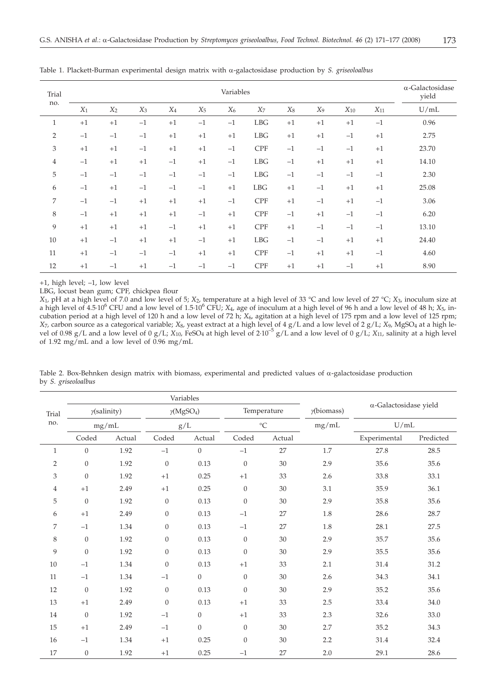| Trial<br>no.   | Variables |       |       |       |       |       |             |       |                | $\alpha$ -Galactosidase<br>yield |          |       |
|----------------|-----------|-------|-------|-------|-------|-------|-------------|-------|----------------|----------------------------------|----------|-------|
|                | $X_1$     | $X_2$ | $X_3$ | $X_4$ | $X_5$ | $X_6$ | $X_7$       | $X_8$ | X <sub>9</sub> | $X_{10}$                         | $X_{11}$ | U/mL  |
| $\mathbf{1}$   | $+1$      | $+1$  | $-1$  | $+1$  | $-1$  | $-1$  | <b>LBG</b>  | $+1$  | $+1$           | $+1$                             | $-1$     | 0.96  |
| $\overline{2}$ | $-1$      | $-1$  | $-1$  | $+1$  | $+1$  | $+1$  | LBG         | $+1$  | $+1$           | $-1$                             | $+1$     | 2.75  |
| 3              | $+1$      | $+1$  | $-1$  | $+1$  | $+1$  | $-1$  | <b>CPF</b>  | $-1$  | $-1$           | $-1$                             | $+1$     | 23.70 |
| $\overline{4}$ | $-1$      | $+1$  | $+1$  | $-1$  | $+1$  | $-1$  | <b>LBG</b>  | $-1$  | $+1$           | $+1$                             | $+1$     | 14.10 |
| 5              | $-1$      | $-1$  | $-1$  | $-1$  | $-1$  | $-1$  | <b>LBG</b>  | $-1$  | $-1$           | $-1$                             | $-1$     | 2.30  |
| 6              | $-1$      | $+1$  | $-1$  | $-1$  | $-1$  | $+1$  | ${\rm LBG}$ | $+1$  | $-1$           | $+1$                             | $+1$     | 25.08 |
| 7              | $-1$      | $-1$  | $+1$  | $+1$  | $+1$  | $-1$  | <b>CPF</b>  | $+1$  | $-1$           | $+1$                             | $-1$     | 3.06  |
| 8              | $-1$      | $+1$  | $+1$  | $+1$  | $-1$  | $+1$  | <b>CPF</b>  | $-1$  | $+1$           | $-1$                             | $-1$     | 6.20  |
| 9              | $+1$      | $+1$  | $+1$  | $-1$  | $+1$  | $+1$  | <b>CPF</b>  | $+1$  | $-1$           | $-1$                             | $-1$     | 13.10 |
| 10             | $+1$      | $-1$  | $+1$  | $+1$  | $-1$  | $+1$  | <b>LBG</b>  | $-1$  | $-1$           | $+1$                             | $+1$     | 24.40 |
| 11             | $+1$      | $-1$  | $-1$  | $-1$  | $+1$  | $+1$  | <b>CPF</b>  | $-1$  | $+1$           | $+1$                             | $-1$     | 4.60  |
| 12             | $+1$      | $-1$  | $+1$  | $-1$  | $-1$  | $-1$  | <b>CPF</b>  | $+1$  | $+1$           | $-1$                             | $+1$     | 8.90  |

Table 1. Plackett-Burman experimental design matrix with a-galactosidase production by *S. griseoloalbus*

+1, high level; –1, low level

LBG, locust bean gum; CPF, chickpea flour

*X*1*,* pH at a high level of 7.0 and low level of 5; *X*2*,* temperature at a high level of 33 °C and low level of 27 °C; *X*3*,* inoculum size at a high level of 4.5.10<sup>6</sup> CFU and a low level of 1.5.10<sup>6</sup> CFU;  $X_4$ , age of inoculum at a high level of 96 h and a low level of 48 h;  $X_5$ , incubation period at a high level of 120 h and a low level of 72 h; *X*6*,* agitation at a high level of 175 rpm and a low level of 125 rpm; X7, carbon source as a categorical variable; X<sub>8</sub>, yeast extract at a high level of 4 g/L and a low level of 2 g/L; X9, MgSO4 at a high le-<br>vel of 0.98 g/L and a low level of 0 g/L; X<sub>10</sub>, FeSO4 at high level of 2·10<sup>-5</sup> g of 1.92 mg/mL and a low level of 0.96 mg/mL

|                |                  |        | Variables                     |                  | $\alpha$ -Galactosidase yield |        |             |              |            |
|----------------|------------------|--------|-------------------------------|------------------|-------------------------------|--------|-------------|--------------|------------|
| Trial<br>no.   | y(salinity)      |        | $\gamma$ (MgSO <sub>4</sub> ) |                  |                               |        | Temperature |              | y(biomass) |
|                |                  | mg/mL  | g/L                           |                  | $^{\circ}\mathrm{C}$          |        | mg/mL       | U/mL         |            |
|                | Coded            | Actual | Coded                         | Actual           | Coded                         | Actual |             | Experimental | Predicted  |
| $\mathbf{1}$   | $\boldsymbol{0}$ | 1.92   | $-1$                          | $\boldsymbol{0}$ | $-1$                          | 27     | 1.7         | 27.8         | 28.5       |
| $\overline{2}$ | $\boldsymbol{0}$ | 1.92   | $\theta$                      | 0.13             | $\mathbf{0}$                  | 30     | 2.9         | 35.6         | 35.6       |
| 3              | $\theta$         | 1.92   | $+1$                          | 0.25             | $+1$                          | 33     | 2.6         | 33.8         | 33.1       |
| 4              | $+1$             | 2.49   | $+1$                          | 0.25             | $\theta$                      | 30     | 3.1         | 35.9         | 36.1       |
| 5              | $\theta$         | 1.92   | $\theta$                      | 0.13             | $\mathbf{0}$                  | 30     | 2.9         | 35.8         | 35.6       |
| 6              | $+1$             | 2.49   | $\boldsymbol{0}$              | 0.13             | $-1$                          | 27     | $1.8\,$     | 28.6         | 28.7       |
| 7              | $-1$             | 1.34   | $\theta$                      | 0.13             | $-1$                          | 27     | 1.8         | 28.1         | 27.5       |
| 8              | $\theta$         | 1.92   | $\boldsymbol{0}$              | 0.13             | $\theta$                      | 30     | 2.9         | 35.7         | 35.6       |
| 9              | $\theta$         | 1.92   | $\mathbf{0}$                  | 0.13             | $\mathbf{0}$                  | 30     | 2.9         | 35.5         | 35.6       |
| 10             | $-1$             | 1.34   | $\theta$                      | 0.13             | $+1$                          | 33     | 2.1         | 31.4         | 31.2       |
| 11             | $-1$             | 1.34   | $-1$                          | $\boldsymbol{0}$ | $\overline{0}$                | 30     | 2.6         | 34.3         | 34.1       |
| 12             | $\theta$         | 1.92   | $\theta$                      | 0.13             | $\theta$                      | 30     | 2.9         | 35.2         | 35.6       |
| 13             | $+1$             | 2.49   | $\theta$                      | 0.13             | $+1$                          | 33     | 2.5         | 33.4         | 34.0       |
| 14             | $\mathbf{0}$     | 1.92   | $-1$                          | $\boldsymbol{0}$ | $+1$                          | 33     | 2.3         | 32.6         | 33.0       |
| 15             | $+1$             | 2.49   | $-1$                          | $\boldsymbol{0}$ | $\mathbf{0}$                  | 30     | 2.7         | 35.2         | 34.3       |
| 16             | $-1$             | 1.34   | $+1$                          | 0.25             | $\theta$                      | 30     | 2.2         | 31.4         | 32.4       |
| 17             | $\boldsymbol{0}$ | 1.92   | $+1$                          | 0.25             | $-1$                          | 27     | 2.0         | 29.1         | 28.6       |

Table 2. Box-Behnken design matrix with biomass, experimental and predicted values of  $\alpha$ -galactosidase production by *S. griseoloalbus*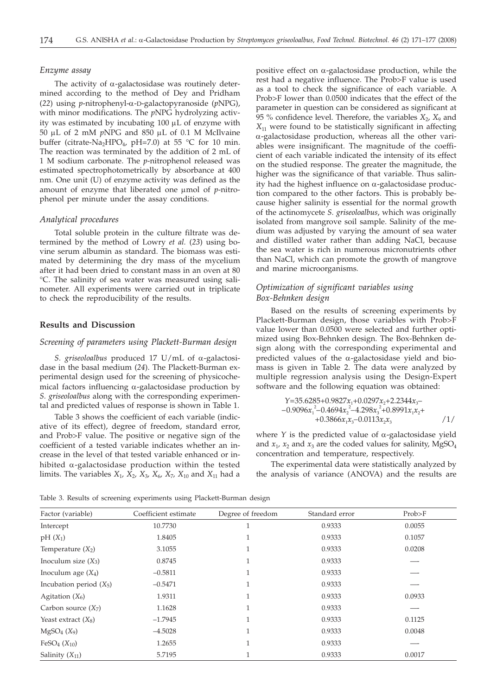#### *Enzyme assay*

The activity of  $\alpha$ -galactosidase was routinely determined according to the method of Dey and Pridham (*22*) using *p*-nitrophenyl-a-D-galactopyranoside (*p*NPG), with minor modifications. The *p*NPG hydrolyzing activity was estimated by incubating  $100 \mu L$  of enzyme with 50 µL of 2 mM *pNPG* and 850 µL of 0.1 M McIlvaine buffer (citrate-Na<sub>2</sub>HPO<sub>4</sub>, pH=7.0) at 55 °C for 10 min. The reaction was terminated by the addition of 2 mL of 1 M sodium carbonate. The *p*-nitrophenol released was estimated spectrophotometrically by absorbance at 400 nm. One unit (U) of enzyme activity was defined as the amount of enzyme that liberated one  $\mu$ mol of *p*-nitrophenol per minute under the assay conditions.

#### *Analytical procedures*

Total soluble protein in the culture filtrate was determined by the method of Lowry *et al.* (*23*) using bovine serum albumin as standard. The biomass was estimated by determining the dry mass of the mycelium after it had been dried to constant mass in an oven at 80 °C. The salinity of sea water was measured using salinometer. All experiments were carried out in triplicate to check the reproducibility of the results.

## **Results and Discussion**

#### *Screening of parameters using Plackett-Burman design*

*S. griseoloalbus* produced 17 U/mL of a-galactosidase in the basal medium (*24*). The Plackett-Burman experimental design used for the screening of physicochemical factors influencing  $\alpha$ -galactosidase production by *S. griseoloalbus* along with the corresponding experimental and predicted values of response is shown in Table 1.

Table 3 shows the coefficient of each variable (indicative of its effect), degree of freedom, standard error, and Prob>F value. The positive or negative sign of the coefficient of a tested variable indicates whether an increase in the level of that tested variable enhanced or inhibited  $\alpha$ -galactosidase production within the tested limits. The variables  $X_1$ ,  $X_2$ ,  $X_3$ ,  $X_6$ ,  $X_7$ ,  $X_{10}$  and  $X_{11}$  had a

positive effect on  $\alpha$ -galactosidase production, while the rest had a negative influence. The Prob>F value is used as a tool to check the significance of each variable. A Prob>F lower than 0.0500 indicates that the effect of the parameter in question can be considered as significant at 95 % confidence level. Therefore, the variables  $X_2$ ,  $X_9$  and *X*<sup>11</sup> were found to be statistically significant in affecting  $\alpha$ -galactosidase production, whereas all the other variables were insignificant. The magnitude of the coefficient of each variable indicated the intensity of its effect on the studied response. The greater the magnitude, the higher was the significance of that variable. Thus salinity had the highest influence on  $\alpha$ -galactosidase production compared to the other factors. This is probably because higher salinity is essential for the normal growth of the actinomycete *S. griseoloalbus*, which was originally isolated from mangrove soil sample. Salinity of the medium was adjusted by varying the amount of sea water and distilled water rather than adding NaCl, because the sea water is rich in numerous micronutrients other than NaCl, which can promote the growth of mangrove and marine microorganisms.

# *Optimization of significant variables using Box-Behnken design*

Based on the results of screening experiments by Plackett-Burman design, those variables with Prob>F value lower than 0.0500 were selected and further optimized using Box-Behnken design. The Box-Behnken design along with the corresponding experimental and predicted values of the  $\alpha$ -galactosidase yield and biomass is given in Table 2. The data were analyzed by multiple regression analysis using the Design-Expert software and the following equation was obtained:

$$
\begin{array}{l}\nY=35.6285+0.9827x_1+0.0297x_2+2.2344x_3-\\
-0.9096x_1^2-0.4694x_2^2-4.298x_3^2+0.8991x_1x_2+\\
+0.3866x_1x_3-0.0113x_2x_3\n\end{array}\n\tag{1/}
$$

where  $Y$  is the predicted value of  $\alpha$ -galactosidase yield and  $x_1$ ,  $x_2$  and  $x_3$  are the coded values for salinity, MgSO<sub>4</sub> concentration and temperature, respectively.

The experimental data were statistically analyzed by the analysis of variance (ANOVA) and the results are

Table 3. Results of screening experiments using Plackett-Burman design

| Factor (variable)                    | Coefficient estimate | Degree of freedom | Standard error | Prob>F |
|--------------------------------------|----------------------|-------------------|----------------|--------|
| Intercept                            | 10.7730              |                   | 0.9333         | 0.0055 |
| $pH(X_1)$                            | 1.8405               |                   | 0.9333         | 0.1057 |
| Temperature $(X_2)$                  | 3.1055               |                   | 0.9333         | 0.0208 |
| Inoculum size $(X_3)$                | 0.8745               |                   | 0.9333         |        |
| Inoculum age $(X_4)$                 | $-0.5811$            |                   | 0.9333         |        |
| Incubation period $(X_5)$            | $-0.5471$            |                   | 0.9333         |        |
| Agitation $(X_6)$                    | 1.9311               |                   | 0.9333         | 0.0933 |
| Carbon source $(X_7)$                | 1.1628               |                   | 0.9333         |        |
| Yeast extract $(X_8)$                | $-1.7945$            |                   | 0.9333         | 0.1125 |
| MgSO <sub>4</sub> (X <sub>9</sub> )  | $-4.5028$            |                   | 0.9333         | 0.0048 |
| FeSO <sub>4</sub> (X <sub>10</sub> ) | 1.2655               |                   | 0.9333         |        |
| Salinity $(X_{11})$                  | 5.7195               |                   | 0.9333         | 0.0017 |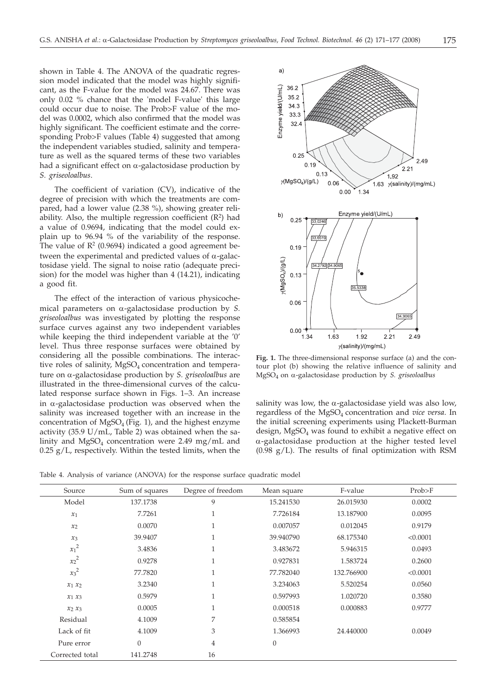shown in Table 4. The ANOVA of the quadratic regression model indicated that the model was highly significant, as the F-value for the model was 24.67. There was only 0.02 % chance that the 'model F-value' this large could occur due to noise. The Prob>F value of the model was 0.0002, which also confirmed that the model was highly significant. The coefficient estimate and the corresponding Prob>F values (Table 4) suggested that among the independent variables studied, salinity and temperature as well as the squared terms of these two variables had a significant effect on  $\alpha$ -galactosidase production by *S. griseoloalbus*.

The coefficient of variation (CV), indicative of the degree of precision with which the treatments are compared, had a lower value (2.38 %), showing greater reliability. Also, the multiple regression coefficient  $(R^2)$  had a value of 0.9694, indicating that the model could explain up to 96.94 % of the variability of the response. The value of  $\mathbb{R}^2$  (0.9694) indicated a good agreement between the experimental and predicted values of  $\alpha$ -galactosidase yield. The signal to noise ratio (adequate precision) for the model was higher than 4 (14.21), indicating a good fit.

The effect of the interaction of various physicochemical parameters on a-galactosidase production by *S. griseoloalbus* was investigated by plotting the response surface curves against any two independent variables while keeping the third independent variable at the '0' level. Thus three response surfaces were obtained by considering all the possible combinations. The interactive roles of salinity,  $MgSO<sub>4</sub>$  concentration and temperature on a-galactosidase production by *S. griseoloalbus* are illustrated in the three-dimensional curves of the calculated response surface shown in Figs. 1–3. An increase in  $\alpha$ -galactosidase production was observed when the salinity was increased together with an increase in the concentration of  $MgSO<sub>4</sub>$  (Fig. 1), and the highest enzyme activity (35.9 U/mL, Table 2) was obtained when the salinity and  $MgSO_4$  concentration were 2.49 mg/mL and  $0.25$  g/L, respectively. Within the tested limits, when the



**Fig. 1.** The three-dimensional response surface (a) and the contour plot (b) showing the relative influence of salinity and MgSO4 on a-galactosidase production by *S. griseoloalbus*

salinity was low, the  $\alpha$ -galactosidase yield was also low, regardless of the MgSO4 concentration and *vice versa*. In the initial screening experiments using Plackett-Burman design,  $MgSO<sub>4</sub>$  was found to exhibit a negative effect on  $\alpha$ -galactosidase production at the higher tested level  $(0.98 \text{ g/L})$ . The results of final optimization with RSM

Table 4. Analysis of variance (ANOVA) for the response surface quadratic model

| Source          | Sum of squares | Degree of freedom | Mean square      | F-value    | Prob>F   |
|-----------------|----------------|-------------------|------------------|------------|----------|
| Model           | 137.1738       | 9                 | 15.241530        | 26.015930  | 0.0002   |
| $x_1$           | 7.7261         |                   | 7.726184         | 13.187900  | 0.0095   |
| $x_2$           | 0.0070         |                   | 0.007057         | 0.012045   | 0.9179   |
| $x_3$           | 39.9407        |                   | 39.940790        | 68.175340  | < 0.0001 |
| $x_1^2$         | 3.4836         |                   | 3.483672         | 5.946315   | 0.0493   |
| $x_2^2$         | 0.9278         |                   | 0.927831         | 1.583724   | 0.2600   |
| $x_3^2$         | 77.7820        |                   | 77.782040        | 132.766900 | < 0.0001 |
| $x_1 x_2$       | 3.2340         | $\mathbf{1}$      | 3.234063         | 5.520254   | 0.0560   |
| $x_1 x_3$       | 0.5979         | $\mathbf{1}$      | 0.597993         | 1.020720   | 0.3580   |
| $x_2 x_3$       | 0.0005         | 1                 | 0.000518         | 0.000883   | 0.9777   |
| Residual        | 4.1009         | 7                 | 0.585854         |            |          |
| Lack of fit     | 4.1009         | 3                 | 1.366993         | 24.440000  | 0.0049   |
| Pure error      | $\mathbf{0}$   | $\overline{4}$    | $\boldsymbol{0}$ |            |          |
| Corrected total | 141.2748       | 16                |                  |            |          |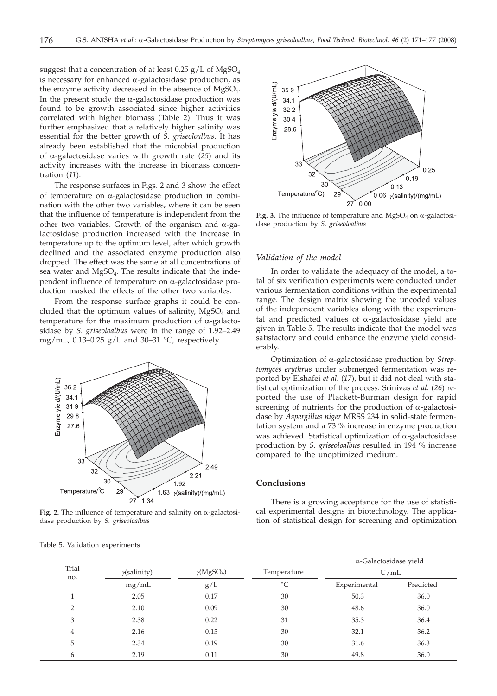suggest that a concentration of at least  $0.25$  g/L of MgSO<sub>4</sub> is necessary for enhanced  $\alpha$ -galactosidase production, as the enzyme activity decreased in the absence of MgSO<sub>4</sub>. In the present study the  $\alpha$ -galactosidase production was found to be growth associated since higher activities correlated with higher biomass (Table 2). Thus it was further emphasized that a relatively higher salinity was essential for the better growth of *S. griseoloalbus*. It has already been established that the microbial production of a-galactosidase varies with growth rate (*25*) and its activity increases with the increase in biomass concentration (*11*).

The response surfaces in Figs. 2 and 3 show the effect of temperature on  $\alpha$ -galactosidase production in combination with the other two variables, where it can be seen that the influence of temperature is independent from the other two variables. Growth of the organism and  $\alpha$ -galactosidase production increased with the increase in temperature up to the optimum level, after which growth declined and the associated enzyme production also dropped. The effect was the same at all concentrations of sea water and MgSO<sub>4</sub>. The results indicate that the independent influence of temperature on  $\alpha$ -galactosidase production masked the effects of the other two variables.

From the response surface graphs it could be concluded that the optimum values of salinity,  $MgSO<sub>4</sub>$  and temperature for the maximum production of  $\alpha$ -galactosidase by *S. griseoloalbus* were in the range of 1.92–2.49 mg/mL, 0.13–0.25 g/L and 30–31 °C, respectively.



**Fig. 2.** The influence of temperature and salinity on  $\alpha$ -galactosidase production by *S. griseoloalbus*

|  |  | Table 5. Validation experiments |
|--|--|---------------------------------|
|--|--|---------------------------------|



**Fig. 3.** The influence of temperature and  $MgSO_4$  on  $\alpha$ -galactosidase production by *S. griseoloalbus*

#### *Validation of the model*

In order to validate the adequacy of the model, a total of six verification experiments were conducted under various fermentation conditions within the experimental range. The design matrix showing the uncoded values of the independent variables along with the experimental and predicted values of  $\alpha$ -galactosidase yield are given in Table 5. The results indicate that the model was satisfactory and could enhance the enzyme yield considerably.

Optimization of a-galactosidase production by *Streptomyces erythrus* under submerged fermentation was reported by Elshafei *et al.* (*17*), but it did not deal with statistical optimization of the process. Srinivas *et al.* (*26*) reported the use of Plackett-Burman design for rapid screening of nutrients for the production of  $\alpha$ -galactosidase by *Aspergillus niger* MRSS 234 in solid-state fermentation system and a 73 % increase in enzyme production was achieved. Statistical optimization of  $\alpha$ -galactosidase production by *S. griseoloalbus* resulted in 194 % increase compared to the unoptimized medium.

#### **Conclusions**

There is a growing acceptance for the use of statistical experimental designs in biotechnology. The application of statistical design for screening and optimization

|              |                     |                               |                 | $\alpha$ -Galactosidase yield<br>U/mL |           |  |
|--------------|---------------------|-------------------------------|-----------------|---------------------------------------|-----------|--|
| Trial<br>no. | $\gamma$ (salinity) | $\gamma$ (MgSO <sub>4</sub> ) | Temperature     |                                       |           |  |
|              | mg/mL               | g/L                           | $\rm ^{\circ}C$ | Experimental                          | Predicted |  |
|              | 2.05                | 0.17                          | 30              | 50.3                                  | 36.0      |  |
| C            | 2.10                | 0.09                          | 30              | 48.6                                  | 36.0      |  |
| 3            | 2.38                | 0.22                          | 31              | 35.3                                  | 36.4      |  |
| 4            | 2.16                | 0.15                          | 30              | 32.1                                  | 36.2      |  |
| 5            | 2.34                | 0.19                          | 30              | 31.6                                  | 36.3      |  |
| 6            | 2.19                | 0.11                          | 30              | 49.8                                  | 36.0      |  |